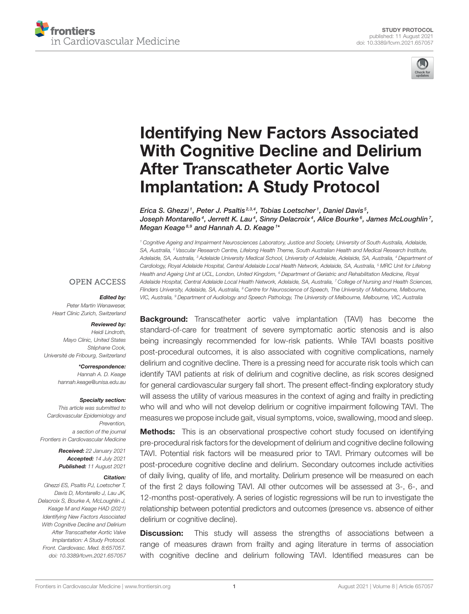



# Identifying New Factors Associated [With Cognitive Decline and Delirium](https://www.frontiersin.org/articles/10.3389/fcvm.2021.657057/full) After Transcatheter Aortic Valve Implantation: A Study Protocol

Erica S. Ghezzi<sup>1</sup>, Peter J. Psaltis<sup>2,3,4</sup>, Tobias Loetscher<sup>1</sup>, Daniel Davis<sup>5</sup>, Joseph Montarello $^4$ , Jerrett K. Lau $^4$ , Sinny Delacroix $^4$ , Alice Bourke $^6$ , James McLoughlin $^7\!$ , Megan Keage<sup>8,9</sup> and Hannah A. D. Keage<sup>1\*</sup>

<sup>1</sup> Cognitive Ageing and Impairment Neurosciences Laboratory, Justice and Society, University of South Australia, Adelaide, SA, Australia, <sup>2</sup> Vascular Research Centre, Lifelong Health Theme, South Australian Health and Medical Research Institute, Adelaide, SA, Australia, <sup>3</sup> Adelaide University Medical School, University of Adelaide, Adelaide, SA, Australia, <sup>4</sup> Department of Cardiology, Royal Adelaide Hospital, Central Adelaide Local Health Network, Adelaide, SA, Australia, <sup>5</sup> MRC Unit for Lifelong Health and Ageing Unit at UCL, London, United Kingdom, <sup>6</sup> Department of Geriatric and Rehabilitation Medicine, Royal Adelaide Hospital, Central Adelaide Local Health Network, Adelaide, SA, Australia, <sup>7</sup> College of Nursing and Health Sciences, Flinders University, Adelaide, SA, Australia, <sup>8</sup> Centre for Neuroscience of Speech, The University of Melbourne, Melbourne, VIC, Australia, <sup>9</sup> Department of Audiology and Speech Pathology, The University of Melbourne, Melbourne, VIC, Australia

#### **OPEN ACCESS**

#### Edited by:

Peter Martin Wenaweser Heart Clinic Zurich, Switzerland

#### Reviewed by: Heidi Lindroth,

Mayo Clinic, United States Stéphane Cook, Université de Fribourg, Switzerland

> \*Correspondence: Hannah A. D. Keage [hannah.keage@unisa.edu.au](mailto:hannah.keage@unisa.edu.au)

#### Specialty section:

This article was submitted to Cardiovascular Epidemiology and Prevention, a section of the journal Frontiers in Cardiovascular Medicine

> Received: 22 January 2021 Accepted: 14 July 2021 Published: 11 August 2021

#### Citation:

Ghezzi ES, Psaltis PJ, Loetscher T, Davis D, Montarello J, Lau JK, Delacroix S, Bourke A, McLoughlin J, Keage M and Keage HAD (2021) Identifying New Factors Associated With Cognitive Decline and Delirium After Transcatheter Aortic Valve Implantation: A Study Protocol. Front. Cardiovasc. Med. 8:657057. doi: [10.3389/fcvm.2021.657057](https://doi.org/10.3389/fcvm.2021.657057)

**Background:** Transcatheter aortic valve implantation (TAVI) has become the standard-of-care for treatment of severe symptomatic aortic stenosis and is also being increasingly recommended for low-risk patients. While TAVI boasts positive post-procedural outcomes, it is also associated with cognitive complications, namely delirium and cognitive decline. There is a pressing need for accurate risk tools which can identify TAVI patients at risk of delirium and cognitive decline, as risk scores designed for general cardiovascular surgery fall short. The present effect-finding exploratory study will assess the utility of various measures in the context of aging and frailty in predicting who will and who will not develop delirium or cognitive impairment following TAVI. The measures we propose include gait, visual symptoms, voice, swallowing, mood and sleep.

**Methods:** This is an observational prospective cohort study focused on identifying pre-procedural risk factors for the development of delirium and cognitive decline following TAVI. Potential risk factors will be measured prior to TAVI. Primary outcomes will be post-procedure cognitive decline and delirium. Secondary outcomes include activities of daily living, quality of life, and mortality. Delirium presence will be measured on each of the first 2 days following TAVI. All other outcomes will be assessed at 3-, 6-, and 12-months post-operatively. A series of logistic regressions will be run to investigate the relationship between potential predictors and outcomes (presence vs. absence of either delirium or cognitive decline).

**Discussion:** This study will assess the strengths of associations between a range of measures drawn from frailty and aging literature in terms of association with cognitive decline and delirium following TAVI. Identified measures can be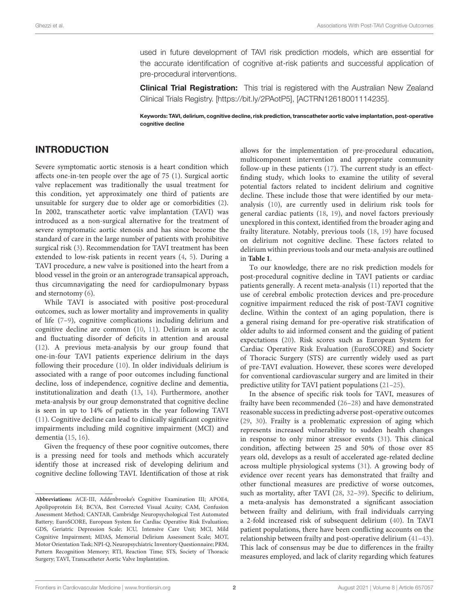used in future development of TAVI risk prediction models, which are essential for the accurate identification of cognitive at-risk patients and successful application of pre-procedural interventions.

**Clinical Trial Registration:** This trial is registered with the Australian New Zealand Clinical Trials Registry. [\[https://bit.ly/2PAotP5\]](https://bit.ly/2PAotP5), [ACTRN12618001114235].

Keywords: TAVI, delirium, cognitive decline, risk prediction, transcatheter aortic valve implantation, post-operative cognitive decline

# INTRODUCTION

Severe symptomatic aortic stenosis is a heart condition which affects one-in-ten people over the age of 75 [\(1\)](#page-8-0). Surgical aortic valve replacement was traditionally the usual treatment for this condition, yet approximately one third of patients are unsuitable for surgery due to older age or comorbidities [\(2\)](#page-8-1). In 2002, transcatheter aortic valve implantation (TAVI) was introduced as a non-surgical alternative for the treatment of severe symptomatic aortic stenosis and has since become the standard of care in the large number of patients with prohibitive surgical risk [\(3\)](#page-8-2). Recommendation for TAVI treatment has been extended to low-risk patients in recent years [\(4,](#page-8-3) [5\)](#page-8-4). During a TAVI procedure, a new valve is positioned into the heart from a blood vessel in the groin or an anterograde transapical approach, thus circumnavigating the need for cardiopulmonary bypass and sternotomy [\(6\)](#page-8-5).

While TAVI is associated with positive post-procedural outcomes, such as lower mortality and improvements in quality of life [\(7–](#page-8-6)[9\)](#page-8-7), cognitive complications including delirium and cognitive decline are common [\(10,](#page-8-8) [11\)](#page-8-9). Delirium is an acute and fluctuating disorder of deficits in attention and arousal [\(12\)](#page-8-10). A previous meta-analysis by our group found that one-in-four TAVI patients experience delirium in the days following their procedure [\(10\)](#page-8-8). In older individuals delirium is associated with a range of poor outcomes including functional decline, loss of independence, cognitive decline and dementia, institutionalization and death [\(13,](#page-8-11) [14\)](#page-8-12). Furthermore, another meta-analysis by our group demonstrated that cognitive decline is seen in up to 14% of patients in the year following TAVI [\(11\)](#page-8-9). Cognitive decline can lead to clinically significant cognitive impairments including mild cognitive impairment (MCI) and dementia [\(15,](#page-8-13) [16\)](#page-8-14).

Given the frequency of these poor cognitive outcomes, there is a pressing need for tools and methods which accurately identify those at increased risk of developing delirium and cognitive decline following TAVI. Identification of those at risk allows for the implementation of pre-procedural education, multicomponent intervention and appropriate community follow-up in these patients [\(17\)](#page-8-15). The current study is an effectfinding study, which looks to examine the utility of several potential factors related to incident delirium and cognitive decline. These include those that were identified by our metaanalysis [\(10\)](#page-8-8), are currently used in delirium risk tools for general cardiac patients [\(18,](#page-8-16) [19\)](#page-8-17), and novel factors previously unexplored in this context, identified from the broader aging and frailty literature. Notably, previous tools [\(18,](#page-8-16) [19\)](#page-8-17) have focused on delirium not cognitive decline. These factors related to delirium within previous tools and our meta-analysis are outlined in **[Table 1](#page-2-0)**.

To our knowledge, there are no risk prediction models for post-procedural cognitive decline in TAVI patients or cardiac patients generally. A recent meta-analysis [\(11\)](#page-8-9) reported that the use of cerebral embolic protection devices and pre-procedure cognitive impairment reduced the risk of post-TAVI cognitive decline. Within the context of an aging population, there is a general rising demand for pre-operative risk stratification of older adults to aid informed consent and the guiding of patient expectations [\(20\)](#page-8-18). Risk scores such as European System for Cardiac Operative Risk Evaluation (EuroSCORE) and Society of Thoracic Surgery (STS) are currently widely used as part of pre-TAVI evaluation. However, these scores were developed for conventional cardiovascular surgery and are limited in their predictive utility for TAVI patient populations [\(21](#page-8-19)[–25\)](#page-9-0).

In the absence of specific risk tools for TAVI, measures of frailty have been recommended [\(26–](#page-9-1)[28\)](#page-9-2) and have demonstrated reasonable success in predicting adverse post-operative outcomes [\(29,](#page-9-3) [30\)](#page-9-4). Frailty is a problematic expression of aging which represents increased vulnerability to sudden health changes in response to only minor stressor events [\(31\)](#page-9-5). This clinical condition, affecting between 25 and 50% of those over 85 years old, develops as a result of accelerated age-related decline across multiple physiological systems [\(31\)](#page-9-5). A growing body of evidence over recent years has demonstrated that frailty and other functional measures are predictive of worse outcomes, such as mortality, after TAVI [\(28,](#page-9-2) [32](#page-9-6)[–39\)](#page-9-7). Specific to delirium, a meta-analysis has demonstrated a significant association between frailty and delirium, with frail individuals carrying a 2-fold increased risk of subsequent delirium [\(40\)](#page-9-8). In TAVI patient populations, there have been conflicting accounts on the relationship between frailty and post-operative delirium [\(41–](#page-9-9)[43\)](#page-9-10). This lack of consensus may be due to differences in the frailty measures employed, and lack of clarity regarding which features

**Abbreviations:** ACE-III, Addenbrooke's Cognitive Examination III; APOE4, Apolipoprotein E4; BCVA, Best Corrected Visual Acuity; CAM, Confusion Assessment Method; CANTAB, Cambridge Neuropsychological Test Automated Battery; EuroSCORE, European System for Cardiac Operative Risk Evaluation; GDS, Geriatric Depression Scale; ICU, Intensive Care Unit; MCI, Mild Cognitive Impairment; MDAS, Memorial Delirium Assessment Scale; MOT, Motor Orientation Task; NPI-Q, Neuropsychiatric Inventory Questionnaire; PRM, Pattern Recognition Memory; RTI, Reaction Time; STS, Society of Thoracic Surgery; TAVI, Transcatheter Aortic Valve Implantation.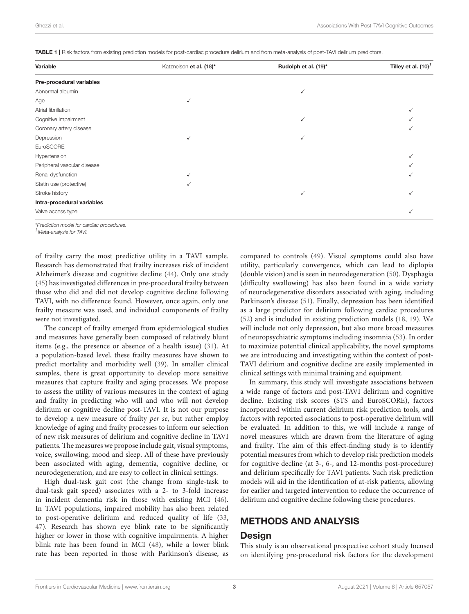<span id="page-2-0"></span>TABLE 1 | Risk factors from existing prediction models for post-cardiac procedure delirium and from meta-analysis of post-TAVI delirium predictors.

| Variable                    | Katznelson et al. (18)* | Rudolph et al. (19)* | Tilley et al. $(10)^T$ |
|-----------------------------|-------------------------|----------------------|------------------------|
| Pre-procedural variables    |                         |                      |                        |
| Abnormal albumin            |                         | ✓                    |                        |
| Age                         | $\checkmark$            |                      |                        |
| Atrial fibrillation         |                         |                      | √                      |
| Cognitive impairment        |                         | $\checkmark$         |                        |
| Coronary artery disease     |                         |                      |                        |
| Depression                  | $\checkmark$            | ✓                    |                        |
| EuroSCORE                   |                         |                      |                        |
| Hypertension                |                         |                      | √                      |
| Peripheral vascular disease |                         |                      |                        |
| Renal dysfunction           | ✓                       |                      |                        |
| Statin use (protective)     |                         |                      |                        |
| Stroke history              |                         | ✓                    | √                      |
| Intra-procedural variables  |                         |                      |                        |
| Valve access type           |                         |                      | √                      |

\*Prediction model for cardiac procedures.

†Meta-analysis for TAVI.

of frailty carry the most predictive utility in a TAVI sample. Research has demonstrated that frailty increases risk of incident Alzheimer's disease and cognitive decline [\(44\)](#page-9-11). Only one study [\(45\)](#page-9-12) has investigated differences in pre-procedural frailty between those who did and did not develop cognitive decline following TAVI, with no difference found. However, once again, only one frailty measure was used, and individual components of frailty were not investigated.

The concept of frailty emerged from epidemiological studies and measures have generally been composed of relatively blunt items (e.g., the presence or absence of a health issue) [\(31\)](#page-9-5). At a population-based level, these frailty measures have shown to predict mortality and morbidity well [\(39\)](#page-9-7). In smaller clinical samples, there is great opportunity to develop more sensitive measures that capture frailty and aging processes. We propose to assess the utility of various measures in the context of aging and frailty in predicting who will and who will not develop delirium or cognitive decline post-TAVI. It is not our purpose to develop a new measure of frailty per se, but rather employ knowledge of aging and frailty processes to inform our selection of new risk measures of delirium and cognitive decline in TAVI patients. The measures we propose include gait, visual symptoms, voice, swallowing, mood and sleep. All of these have previously been associated with aging, dementia, cognitive decline, or neurodegeneration, and are easy to collect in clinical settings.

High dual-task gait cost (the change from single-task to dual-task gait speed) associates with a 2- to 3-fold increase in incident dementia risk in those with existing MCI [\(46\)](#page-9-13). In TAVI populations, impaired mobility has also been related to post-operative delirium and reduced quality of life [\(33,](#page-9-14) [47\)](#page-9-15). Research has shown eye blink rate to be significantly higher or lower in those with cognitive impairments. A higher blink rate has been found in MCI [\(48\)](#page-9-16), while a lower blink rate has been reported in those with Parkinson's disease, as compared to controls [\(49\)](#page-9-17). Visual symptoms could also have utility, particularly convergence, which can lead to diplopia (double vision) and is seen in neurodegeneration [\(50\)](#page-9-18). Dysphagia (difficulty swallowing) has also been found in a wide variety of neurodegenerative disorders associated with aging, including Parkinson's disease [\(51\)](#page-9-19). Finally, depression has been identified as a large predictor for delirium following cardiac procedures [\(52\)](#page-9-20) and is included in existing prediction models [\(18,](#page-8-16) [19\)](#page-8-17). We will include not only depression, but also more broad measures of neuropsychiatric symptoms including insomnia [\(53\)](#page-9-21). In order to maximize potential clinical applicability, the novel symptoms we are introducing and investigating within the context of post-TAVI delirium and cognitive decline are easily implemented in clinical settings with minimal training and equipment.

In summary, this study will investigate associations between a wide range of factors and post-TAVI delirium and cognitive decline. Existing risk scores (STS and EuroSCORE), factors incorporated within current delirium risk prediction tools, and factors with reported associations to post-operative delirium will be evaluated. In addition to this, we will include a range of novel measures which are drawn from the literature of aging and frailty. The aim of this effect-finding study is to identify potential measures from which to develop risk prediction models for cognitive decline (at 3-, 6-, and 12-months post-procedure) and delirium specifically for TAVI patients. Such risk prediction models will aid in the identification of at-risk patients, allowing for earlier and targeted intervention to reduce the occurrence of delirium and cognitive decline following these procedures.

# METHODS AND ANALYSIS

## Design

This study is an observational prospective cohort study focused on identifying pre-procedural risk factors for the development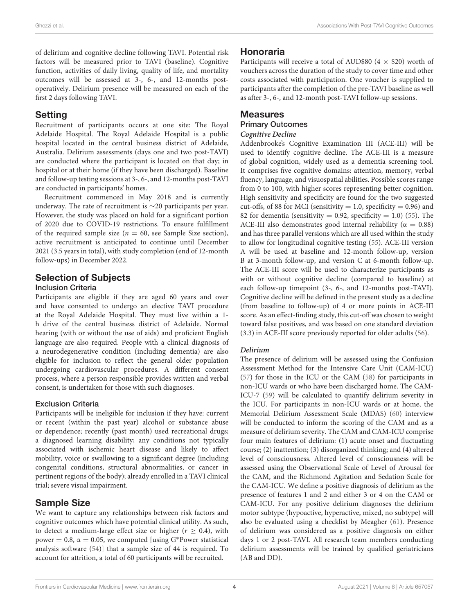of delirium and cognitive decline following TAVI. Potential risk factors will be measured prior to TAVI (baseline). Cognitive function, activities of daily living, quality of life, and mortality outcomes will be assessed at 3-, 6-, and 12-months postoperatively. Delirium presence will be measured on each of the first 2 days following TAVI.

# **Setting**

Recruitment of participants occurs at one site: The Royal Adelaide Hospital. The Royal Adelaide Hospital is a public hospital located in the central business district of Adelaide, Australia. Delirium assessments (days one and two post-TAVI) are conducted where the participant is located on that day; in hospital or at their home (if they have been discharged). Baseline and follow-up testing sessions at 3-, 6-, and 12-months post-TAVI are conducted in participants' homes.

Recruitment commenced in May 2018 and is currently underway. The rate of recruitment is ∼20 participants per year. However, the study was placed on hold for a significant portion of 2020 due to COVID-19 restrictions. To ensure fulfillment of the required sample size ( $n = 60$ , see Sample Size section), active recruitment is anticipated to continue until December 2021 (3.5 years in total), with study completion (end of 12-month follow-ups) in December 2022.

# Selection of Subjects

# Inclusion Criteria

Participants are eligible if they are aged 60 years and over and have consented to undergo an elective TAVI procedure at the Royal Adelaide Hospital. They must live within a 1 h drive of the central business district of Adelaide. Normal hearing (with or without the use of aids) and proficient English language are also required. People with a clinical diagnosis of a neurodegenerative condition (including dementia) are also eligible for inclusion to reflect the general older population undergoing cardiovascular procedures. A different consent process, where a person responsible provides written and verbal consent, is undertaken for those with such diagnoses.

## Exclusion Criteria

Participants will be ineligible for inclusion if they have: current or recent (within the past year) alcohol or substance abuse or dependence; recently (past month) used recreational drugs; a diagnosed learning disability; any conditions not typically associated with ischemic heart disease and likely to affect mobility, voice or swallowing to a significant degree (including congenital conditions, structural abnormalities, or cancer in pertinent regions of the body); already enrolled in a TAVI clinical trial; severe visual impairment.

# Sample Size

We want to capture any relationships between risk factors and cognitive outcomes which have potential clinical utility. As such, to detect a medium-large effect size or higher ( $r \geq 0.4$ ), with power = 0.8,  $\alpha$  = 0.05, we computed [using G\*Power statistical analysis software [\(54\)](#page-9-22)] that a sample size of 44 is required. To account for attrition, a total of 60 participants will be recruited.

# Honoraria

Participants will receive a total of AUD\$80 (4  $\times$  \$20) worth of vouchers across the duration of the study to cover time and other costs associated with participation. One voucher is supplied to participants after the completion of the pre-TAVI baseline as well as after 3-, 6-, and 12-month post-TAVI follow-up sessions.

# **Measures**

#### Primary Outcomes

### **Cognitive Decline**

Addenbrooke's Cognitive Examination III (ACE-III) will be used to identify cognitive decline. The ACE-III is a measure of global cognition, widely used as a dementia screening tool. It comprises five cognitive domains: attention, memory, verbal fluency, language, and visuospatial abilities. Possible scores range from 0 to 100, with higher scores representing better cognition. High sensitivity and specificity are found for the two suggested cut-offs, of 88 for MCI (sensitivity  $= 1.0$ , specificity  $= 0.96$ ) and 82 for dementia (sensitivity = 0.92, specificity = 1.0) [\(55\)](#page-9-23). The ACE-III also demonstrates good internal reliability ( $\alpha = 0.88$ ) and has three parallel versions which are all used within the study to allow for longitudinal cognitive testing [\(55\)](#page-9-23). ACE-III version A will be used at baseline and 12-month follow-up, version B at 3-month follow-up, and version C at 6-month follow-up. The ACE-III score will be used to characterize participants as with or without cognitive decline (compared to baseline) at each follow-up timepoint (3-, 6-, and 12-months post-TAVI). Cognitive decline will be defined in the present study as a decline (from baseline to follow-up) of 4 or more points in ACE-III score. As an effect-finding study, this cut-off was chosen to weight toward false positives, and was based on one standard deviation (3.3) in ACE-III score previously reported for older adults [\(56\)](#page-9-24).

## **Delirium**

The presence of delirium will be assessed using the Confusion Assessment Method for the Intensive Care Unit (CAM-ICU) [\(57\)](#page-9-25) for those in the ICU or the CAM [\(58\)](#page-9-26) for participants in non-ICU wards or who have been discharged home. The CAM-ICU-7 [\(59\)](#page-9-27) will be calculated to quantify delirium severity in the ICU. For participants in non-ICU wards or at home, the Memorial Delirium Assessment Scale (MDAS) [\(60\)](#page-10-0) interview will be conducted to inform the scoring of the CAM and as a measure of delirium severity. The CAM and CAM-ICU comprise four main features of delirium: (1) acute onset and fluctuating course; (2) inattention; (3) disorganized thinking; and (4) altered level of consciousness. Altered level of consciousness will be assessed using the Observational Scale of Level of Arousal for the CAM, and the Richmond Agitation and Sedation Scale for the CAM-ICU. We define a positive diagnosis of delirium as the presence of features 1 and 2 and either 3 or 4 on the CAM or CAM-ICU. For any positive delirium diagnoses the delirium motor subtype (hypoactive, hyperactive, mixed, no subtype) will also be evaluated using a checklist by Meagher [\(61\)](#page-10-1). Presence of delirium was considered as a positive diagnosis on either days 1 or 2 post-TAVI. All research team members conducting delirium assessments will be trained by qualified geriatricians (AB and DD).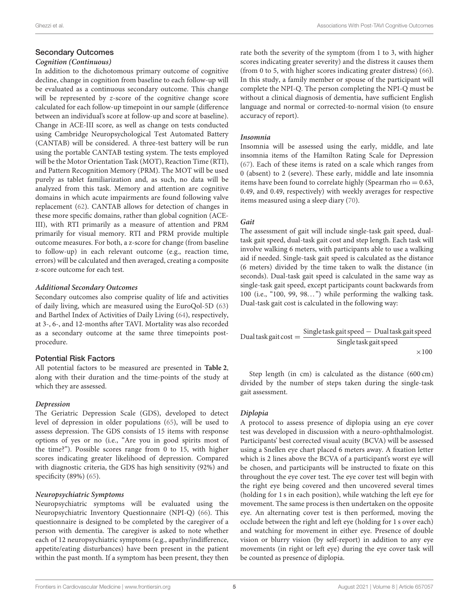# Secondary Outcomes

#### **Cognition (Continuous)**

In addition to the dichotomous primary outcome of cognitive decline, change in cognition from baseline to each follow-up will be evaluated as a continuous secondary outcome. This change will be represented by z-score of the cognitive change score calculated for each follow-up timepoint in our sample (difference between an individual's score at follow-up and score at baseline). Change in ACE-III score, as well as change on tests conducted using Cambridge Neuropsychological Test Automated Battery (CANTAB) will be considered. A three-test battery will be run using the portable CANTAB testing system. The tests employed will be the Motor Orientation Task (MOT), Reaction Time (RTI), and Pattern Recognition Memory (PRM). The MOT will be used purely as tablet familiarization and, as such, no data will be analyzed from this task. Memory and attention are cognitive domains in which acute impairments are found following valve replacement [\(62\)](#page-10-2). CANTAB allows for detection of changes in these more specific domains, rather than global cognition (ACE-III), with RTI primarily as a measure of attention and PRM primarily for visual memory. RTI and PRM provide multiple outcome measures. For both, a z-score for change (from baseline to follow-up) in each relevant outcome (e.g., reaction time, errors) will be calculated and then averaged, creating a composite z-score outcome for each test.

#### **Additional Secondary Outcomes**

Secondary outcomes also comprise quality of life and activities of daily living, which are measured using the EuroQol-5D [\(63\)](#page-10-3) and Barthel Index of Activities of Daily Living [\(64\)](#page-10-4), respectively, at 3-, 6-, and 12-months after TAVI. Mortality was also recorded as a secondary outcome at the same three timepoints postprocedure.

## Potential Risk Factors

All potential factors to be measured are presented in **[Table 2](#page-5-0)**, along with their duration and the time-points of the study at which they are assessed.

## **Depression**

The Geriatric Depression Scale (GDS), developed to detect level of depression in older populations [\(65\)](#page-10-5), will be used to assess depression. The GDS consists of 15 items with response options of yes or no (i.e., "Are you in good spirits most of the time?"). Possible scores range from 0 to 15, with higher scores indicating greater likelihood of depression. Compared with diagnostic criteria, the GDS has high sensitivity (92%) and specificity (89%) [\(65\)](#page-10-5).

## **Neuropsychiatric Symptoms**

Neuropsychiatric symptoms will be evaluated using the Neuropsychiatric Inventory Questionnaire (NPI-Q) [\(66\)](#page-10-6). This questionnaire is designed to be completed by the caregiver of a person with dementia. The caregiver is asked to note whether each of 12 neuropsychiatric symptoms (e.g., apathy/indifference, appetite/eating disturbances) have been present in the patient within the past month. If a symptom has been present, they then rate both the severity of the symptom (from 1 to 3, with higher scores indicating greater severity) and the distress it causes them (from 0 to 5, with higher scores indicating greater distress) [\(66\)](#page-10-6). In this study, a family member or spouse of the participant will complete the NPI-Q. The person completing the NPI-Q must be without a clinical diagnosis of dementia, have sufficient English language and normal or corrected-to-normal vision (to ensure accuracy of report).

### **Insomnia**

Insomnia will be assessed using the early, middle, and late insomnia items of the Hamilton Rating Scale for Depression [\(67\)](#page-10-7). Each of these items is rated on a scale which ranges from 0 (absent) to 2 (severe). These early, middle and late insomnia items have been found to correlate highly (Spearman rho  $= 0.63$ , 0.49, and 0.49, respectively) with weekly averages for respective items measured using a sleep diary [\(70\)](#page-10-8).

### **Gait**

The assessment of gait will include single-task gait speed, dualtask gait speed, dual-task gait cost and step length. Each task will involve walking 6 meters, with participants able to use a walking aid if needed. Single-task gait speed is calculated as the distance (6 meters) divided by the time taken to walk the distance (in seconds). Dual-task gait speed is calculated in the same way as single-task gait speed, except participants count backwards from 100 (i.e., "100, 99, 98...") while performing the walking task. Dual-task gait cost is calculated in the following way:

$$
Dual task gait cost = \frac{Single task gait speed - Dual task gait speed}{Single task gait speed} \times 100
$$

Step length (in cm) is calculated as the distance (600 cm) divided by the number of steps taken during the single-task gait assessment.

## **Diplopia**

A protocol to assess presence of diplopia using an eye cover test was developed in discussion with a neuro-ophthalmologist. Participants' best corrected visual acuity (BCVA) will be assessed using a Snellen eye chart placed 6 meters away. A fixation letter which is 2 lines above the BCVA of a participant's worst eye will be chosen, and participants will be instructed to fixate on this throughout the eye cover test. The eye cover test will begin with the right eye being covered and then uncovered several times (holding for 1 s in each position), while watching the left eye for movement. The same process is then undertaken on the opposite eye. An alternating cover test is then performed, moving the occlude between the right and left eye (holding for 1 s over each) and watching for movement in either eye. Presence of double vision or blurry vision (by self-report) in addition to any eye movements (in right or left eye) during the eye cover task will be counted as presence of diplopia.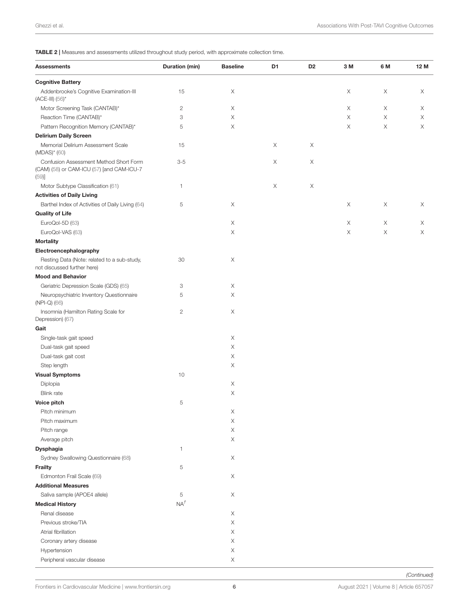<span id="page-5-0"></span>TABLE 2 | Measures and assessments utilized throughout study period, with approximate collection time.

| <b>Assessments</b>                                                                          | Duration (min) | <b>Baseline</b> | D1 | D <sub>2</sub> | 3 M | 6 M | 12 M |
|---------------------------------------------------------------------------------------------|----------------|-----------------|----|----------------|-----|-----|------|
| <b>Cognitive Battery</b>                                                                    |                |                 |    |                |     |     |      |
| Addenbrooke's Cognitive Examination-III<br>$(ACE-III)$ $(56)^*$                             | 15             | Χ               |    |                | Χ   | X   | Χ    |
| Motor Screening Task (CANTAB)*                                                              | $\mathbf{2}$   | Χ               |    |                | Χ   | X   | Χ    |
| Reaction Time (CANTAB)*                                                                     | 3              | Χ               |    |                | Χ   | X   | X    |
| Pattern Recognition Memory (CANTAB)*                                                        | 5              | X               |    |                | X   | X   | X    |
| <b>Delirium Daily Screen</b>                                                                |                |                 |    |                |     |     |      |
| Memorial Delirium Assessment Scale<br>$(MDAS)^*$ (60)                                       | 15             |                 | Χ  | X              |     |     |      |
| Confusion Assessment Method Short Form<br>(CAM) (58) or CAM-ICU (57) [and CAM-ICU-7<br>(59) | $3-5$          |                 | Χ  | X              |     |     |      |
| Motor Subtype Classification (61)                                                           | 1              |                 | Χ  | Χ              |     |     |      |
| <b>Activities of Daily Living</b>                                                           |                |                 |    |                |     |     |      |
| Barthel Index of Activities of Daily Living (64)                                            | 5              | Χ               |    |                | Χ   | X   | Χ    |
| <b>Quality of Life</b>                                                                      |                |                 |    |                |     |     |      |
| EuroQol-5D (63)                                                                             |                | Χ               |    |                | Χ   | X   | Χ    |
| EuroQol-VAS (63)                                                                            |                | X               |    |                | X   | X   | X    |
| <b>Mortality</b>                                                                            |                |                 |    |                |     |     |      |
| Electroencephalography                                                                      |                |                 |    |                |     |     |      |
| Resting Data (Note: related to a sub-study,<br>not discussed further here)                  | 30             | Χ               |    |                |     |     |      |
| <b>Mood and Behavior</b>                                                                    |                |                 |    |                |     |     |      |
| Geriatric Depression Scale (GDS) (65)                                                       | 3              | Χ               |    |                |     |     |      |
| Neuropsychiatric Inventory Questionnaire<br>(NPI-Q) (66)                                    | 5              | Χ               |    |                |     |     |      |
| Insomnia (Hamilton Rating Scale for<br>Depression) (67)                                     | $\mathbf{2}$   | Χ               |    |                |     |     |      |
| Gait                                                                                        |                |                 |    |                |     |     |      |
| Single-task gait speed                                                                      |                | Χ               |    |                |     |     |      |
| Dual-task gait speed                                                                        |                | Χ               |    |                |     |     |      |
| Dual-task gait cost                                                                         |                | Χ               |    |                |     |     |      |
| Step length                                                                                 |                | Χ               |    |                |     |     |      |
| <b>Visual Symptoms</b>                                                                      | 10             |                 |    |                |     |     |      |
| Diplopia                                                                                    |                | Χ               |    |                |     |     |      |
| <b>Blink</b> rate                                                                           |                | Χ               |    |                |     |     |      |
| Voice pitch                                                                                 | 5              |                 |    |                |     |     |      |
| Pitch minimum                                                                               |                | Х               |    |                |     |     |      |
| Pitch maximum                                                                               |                | Χ               |    |                |     |     |      |
| Pitch range                                                                                 |                | Χ               |    |                |     |     |      |
| Average pitch                                                                               |                | X               |    |                |     |     |      |
| Dysphagia                                                                                   | 1              |                 |    |                |     |     |      |
| Sydney Swallowing Questionnaire (68)                                                        |                | X               |    |                |     |     |      |
| <b>Frailty</b>                                                                              | 5              |                 |    |                |     |     |      |
| Edmonton Frail Scale (69)                                                                   |                | Χ               |    |                |     |     |      |
| <b>Additional Measures</b>                                                                  |                |                 |    |                |     |     |      |
| Saliva sample (APOE4 allele)                                                                | 5              | Χ               |    |                |     |     |      |
| <b>Medical History</b>                                                                      | $NA^{\dagger}$ |                 |    |                |     |     |      |
| Renal disease                                                                               |                | Χ               |    |                |     |     |      |
| Previous stroke/TIA                                                                         |                | X               |    |                |     |     |      |
| Atrial fibrillation                                                                         |                | Χ               |    |                |     |     |      |
| Coronary artery disease                                                                     |                | Χ               |    |                |     |     |      |
| Hypertension                                                                                |                | Χ               |    |                |     |     |      |
| Peripheral vascular disease                                                                 |                | Χ               |    |                |     |     |      |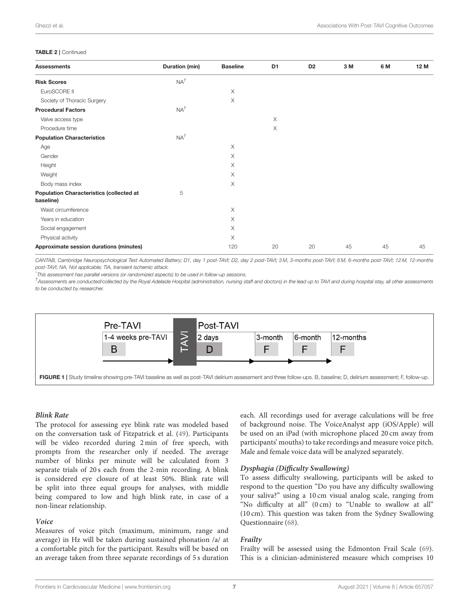#### TABLE 2 | Continued

| <b>Assessments</b>                                           | Duration (min) | <b>Baseline</b> | D <sub>1</sub> | D <sub>2</sub> | 3 M | 6 M | 12 M |
|--------------------------------------------------------------|----------------|-----------------|----------------|----------------|-----|-----|------|
| <b>Risk Scores</b>                                           | $NA^{\dagger}$ |                 |                |                |     |     |      |
| EuroSCORE II                                                 |                | Χ               |                |                |     |     |      |
| Society of Thoracic Surgery                                  |                | X               |                |                |     |     |      |
| <b>Procedural Factors</b>                                    | $NA^{\dagger}$ |                 |                |                |     |     |      |
| Valve access type                                            |                |                 | $\times$       |                |     |     |      |
| Procedure time                                               |                |                 | X              |                |     |     |      |
| <b>Population Characteristics</b>                            | $NA^{\dagger}$ |                 |                |                |     |     |      |
| Age                                                          |                | X               |                |                |     |     |      |
| Gender                                                       |                | X               |                |                |     |     |      |
| Height                                                       |                | X               |                |                |     |     |      |
| Weight                                                       |                | Χ               |                |                |     |     |      |
| Body mass index                                              |                | X               |                |                |     |     |      |
| <b>Population Characteristics (collected at</b><br>baseline) | 5              |                 |                |                |     |     |      |
| Waist circumference                                          |                | X               |                |                |     |     |      |
| Years in education                                           |                | Χ               |                |                |     |     |      |
| Social engagement                                            |                | $\times$        |                |                |     |     |      |
| Physical activity                                            |                | X               |                |                |     |     |      |
| Approximate session durations (minutes)                      |                | 120             | 20             | 20             | 45  | 45  | 45   |

CANTAB, Cambridge Neuropsychological Test Automated Battery; D1, day 1 post-TAVI; D2, day 2 post-TAVI; 3 M, 3-months post-TAVI; 6 M, 6-months post-TAVI; 12 M, 12-months post-TAVI; NA, Not applicable; TIA, transient ischemic attack.

This assessment has parallel versions (or randomized aspects) to be used in follow-up sessions.

† Assessments are conducted/collected by the Royal Adelaide Hospital (administration, nursing staff and doctors) in the lead up to TAVI and during hospital stay, all other assessments to be conducted by researcher.



#### <span id="page-6-0"></span>**Blink Rate**

The protocol for assessing eye blink rate was modeled based on the conversation task of Fitzpatrick et al. [\(49\)](#page-9-17). Participants will be video recorded during 2 min of free speech, with prompts from the researcher only if needed. The average number of blinks per minute will be calculated from 3 separate trials of 20 s each from the 2-min recording. A blink is considered eye closure of at least 50%. Blink rate will be split into three equal groups for analyses, with middle being compared to low and high blink rate, in case of a non-linear relationship.

#### **Voice**

Measures of voice pitch (maximum, minimum, range and average) in Hz will be taken during sustained phonation /a/ at a comfortable pitch for the participant. Results will be based on an average taken from three separate recordings of 5 s duration each. All recordings used for average calculations will be free of background noise. The VoiceAnalyst app (iOS/Apple) will be used on an iPad (with microphone placed 20 cm away from participants' mouths) to take recordings and measure voice pitch. Male and female voice data will be analyzed separately.

#### **Dysphagia (Difficulty Swallowing)**

To assess difficulty swallowing, participants will be asked to respond to the question "Do you have any difficulty swallowing your saliva?" using a 10 cm visual analog scale, ranging from "No difficulty at all" (0 cm) to "Unable to swallow at all" (10 cm). This question was taken from the Sydney Swallowing Questionnaire [\(68\)](#page-10-9).

#### **Frailty**

Frailty will be assessed using the Edmonton Frail Scale [\(69\)](#page-10-10). This is a clinician-administered measure which comprises 10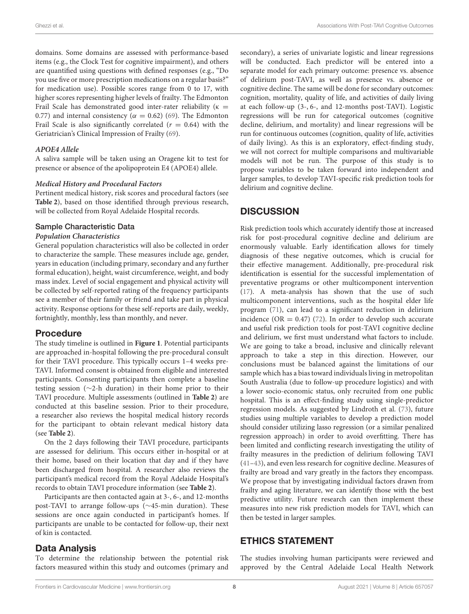domains. Some domains are assessed with performance-based items (e.g., the Clock Test for cognitive impairment), and others are quantified using questions with defined responses (e.g., "Do you use five or more prescription medications on a regular basis?" for medication use). Possible scores range from 0 to 17, with higher scores representing higher levels of frailty. The Edmonton Frail Scale has demonstrated good inter-rater reliability ( $\kappa$  = 0.77) and internal consistency ( $\alpha = 0.62$ ) [\(69\)](#page-10-10). The Edmonton Frail Scale is also significantly correlated ( $r = 0.64$ ) with the Geriatrician's Clinical Impression of Frailty [\(69\)](#page-10-10).

#### **APOE4 Allele**

A saliva sample will be taken using an Oragene kit to test for presence or absence of the apolipoprotein E4 (APOE4) allele.

#### **Medical History and Procedural Factors**

Pertinent medical history, risk scores and procedural factors (see **[Table 2](#page-5-0)**), based on those identified through previous research, will be collected from Royal Adelaide Hospital records.

#### Sample Characteristic Data

#### **Population Characteristics**

General population characteristics will also be collected in order to characterize the sample. These measures include age, gender, years in education (including primary, secondary and any further formal education), height, waist circumference, weight, and body mass index. Level of social engagement and physical activity will be collected by self-reported rating of the frequency participants see a member of their family or friend and take part in physical activity. Response options for these self-reports are daily, weekly, fortnightly, monthly, less than monthly, and never.

#### Procedure

The study timeline is outlined in **[Figure 1](#page-6-0)**. Potential participants are approached in-hospital following the pre-procedural consult for their TAVI procedure. This typically occurs 1–4 weeks pre-TAVI. Informed consent is obtained from eligible and interested participants. Consenting participants then complete a baseline testing session (∼2-h duration) in their home prior to their TAVI procedure. Multiple assessments (outlined in **[Table 2](#page-5-0)**) are conducted at this baseline session. Prior to their procedure, a researcher also reviews the hospital medical history records for the participant to obtain relevant medical history data (see **[Table 2](#page-5-0)**).

On the 2 days following their TAVI procedure, participants are assessed for delirium. This occurs either in-hospital or at their home, based on their location that day and if they have been discharged from hospital. A researcher also reviews the participant's medical record from the Royal Adelaide Hospital's records to obtain TAVI procedure information (see **[Table 2](#page-5-0)**).

Participants are then contacted again at 3-, 6-, and 12-months post-TAVI to arrange follow-ups (∼45-min duration). These sessions are once again conducted in participant's homes. If participants are unable to be contacted for follow-up, their next of kin is contacted.

## Data Analysis

To determine the relationship between the potential risk factors measured within this study and outcomes (primary and secondary), a series of univariate logistic and linear regressions will be conducted. Each predictor will be entered into a separate model for each primary outcome: presence vs. absence of delirium post-TAVI, as well as presence vs. absence or cognitive decline. The same will be done for secondary outcomes: cognition, mortality, quality of life, and activities of daily living at each follow-up (3-, 6-, and 12-months post-TAVI). Logistic regressions will be run for categorical outcomes (cognitive decline, delirium, and mortality) and linear regressions will be run for continuous outcomes (cognition, quality of life, activities of daily living). As this is an exploratory, effect-finding study, we will not correct for multiple comparisons and multivariable models will not be run. The purpose of this study is to propose variables to be taken forward into independent and larger samples, to develop TAVI-specific risk prediction tools for delirium and cognitive decline.

# **DISCUSSION**

Risk prediction tools which accurately identify those at increased risk for post-procedural cognitive decline and delirium are enormously valuable. Early identification allows for timely diagnosis of these negative outcomes, which is crucial for their effective management. Additionally, pre-procedural risk identification is essential for the successful implementation of preventative programs or other multicomponent intervention [\(17\)](#page-8-15). A meta-analysis has shown that the use of such multicomponent interventions, such as the hospital elder life program [\(71\)](#page-10-11), can lead to a significant reduction in delirium incidence (OR = 0.47) [\(72\)](#page-10-12). In order to develop such accurate and useful risk prediction tools for post-TAVI cognitive decline and delirium, we first must understand what factors to include. We are going to take a broad, inclusive and clinically relevant approach to take a step in this direction. However, our conclusions must be balanced against the limitations of our sample which has a bias toward individuals living in metropolitan South Australia (due to follow-up procedure logistics) and with a lower socio-economic status, only recruited from one public hospital. This is an effect-finding study using single-predictor regression models. As suggested by Lindroth et al. [\(73\)](#page-10-13), future studies using multiple variables to develop a prediction model should consider utilizing lasso regression (or a similar penalized regression approach) in order to avoid overfitting. There has been limited and conflicting research investigating the utility of frailty measures in the prediction of delirium following TAVI [\(41](#page-9-9)[–43\)](#page-9-10), and even less research for cognitive decline. Measures of frailty are broad and vary greatly in the factors they encompass. We propose that by investigating individual factors drawn from frailty and aging literature, we can identify those with the best predictive utility. Future research can then implement these measures into new risk prediction models for TAVI, which can then be tested in larger samples.

# ETHICS STATEMENT

The studies involving human participants were reviewed and approved by the Central Adelaide Local Health Network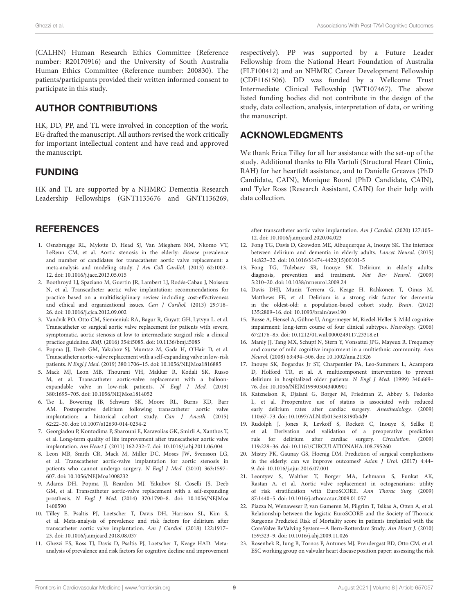(CALHN) Human Research Ethics Committee (Reference number: R20170916) and the University of South Australia Human Ethics Committee (Reference number: 200830). The patients/participants provided their written informed consent to participate in this study.

# AUTHOR CONTRIBUTIONS

HK, DD, PP, and TL were involved in conception of the work. EG drafted the manuscript. All authors revised the work critically for important intellectual content and have read and approved the manuscript.

# FUNDING

HK and TL are supported by a NHMRC Dementia Research Leadership Fellowships (GNT1135676 and GNT1136269,

# **REFERENCES**

- <span id="page-8-0"></span>1. Osnabrugge RL, Mylotte D, Head SJ, Van Mieghem NM, Nkomo VT, LeReun CM, et al. Aortic stenosis in the elderly: disease prevalence and number of candidates for transcatheter aortic valve replacement: a meta-analysis and modeling study. J Am Coll Cardiol. (2013) 62:1002– 12. doi: [10.1016/j.jacc.2013.05.015](https://doi.org/10.1016/j.jacc.2013.05.015)
- <span id="page-8-1"></span>2. Boothroyd LJ, Spaziano M, Guertin JR, Lambert LJ, Rodés-Cabau J, Noiseux N, et al. Transcatheter aortic valve implantation: recommendations for practice based on a multidisciplinary review including cost-effectiveness and ethical and organizational issues. Can J Cardiol. (2013) 29:718– 26. doi: [10.1016/j.cjca.2012.09.002](https://doi.org/10.1016/j.cjca.2012.09.002)
- <span id="page-8-2"></span>3. Vandvik PO, Otto CM, Siemieniuk RA, Bagur R, Guyatt GH, Lytvyn L, et al. Transcatheter or surgical aortic valve replacement for patients with severe, symptomatic, aortic stenosis at low to intermediate surgical risk: a clinical practice guideline. BMJ. (2016) 354:i5085. doi: [10.1136/bmj.i5085](https://doi.org/10.1136/bmj.i5085)
- <span id="page-8-3"></span>4. Popma JJ, Deeb GM, Yakubov SJ, Mumtaz M, Gada H, O'Hair D, et al. Transcatheter aortic-valve replacement with a self-expanding valve in low-risk patients. N Engl J Med. (2019) 380:1706–15. doi: [10.1056/NEJMoa1816885](https://doi.org/10.1056/NEJMoa1816885)
- <span id="page-8-4"></span>5. Mack MJ, Leon MB, Thourani VH, Makkar R, Kodali SK, Russo M, et al. Transcatheter aortic-valve replacement with a balloonexpandable valve in low-risk patients. N Engl J Med. (2019) 380:1695–705. doi: [10.1056/NEJMoa1814052](https://doi.org/10.1056/NEJMoa1814052)
- <span id="page-8-5"></span>6. Tse L, Bowering JB, Schwarz SK, Moore RL, Burns KD, Barr AM. Postoperative delirium following transcatheter aortic valve implantation: a historical cohort study. Can J Anesth. (2015) 62:22–30. doi: [10.1007/s12630-014-0254-2](https://doi.org/10.1007/s12630-014-0254-2)
- <span id="page-8-6"></span>7. Georgiadou P, Kontodima P, Sbarouni E, Karavolias GK, Smirli A, Xanthos T, et al. Long-term quality of life improvement after transcatheter aortic valve implantation. Am Heart J. (2011) 162:232–7. doi: [10.1016/j.ahj.2011.06.004](https://doi.org/10.1016/j.ahj.2011.06.004)
- 8. Leon MB, Smith CR, Mack M, Miller DC, Moses JW, Svensson LG, et al. Transcatheter aortic-valve implantation for aortic stenosis in patients who cannot undergo surgery. N Engl J Med. (2010) 363:1597– 607. doi: [10.1056/NEJMoa1008232](https://doi.org/10.1056/NEJMoa1008232)
- <span id="page-8-7"></span>9. Adams DH, Popma JJ, Reardon MJ, Yakubov SJ, Coselli JS, Deeb GM, et al. Transcatheter aortic-valve replacement with a self-expanding prosthesis. N Engl J Med. [\(2014\) 370:1790–8. doi: 10.1056/NEJMoa](https://doi.org/10.1056/NEJMoa1400590) 1400590
- <span id="page-8-8"></span>10. Tilley E, Psaltis PJ, Loetscher T, Davis DH, Harrison SL, Kim S, et al. Meta-analysis of prevalence and risk factors for delirium after transcatheter aortic valve implantation. Am J Cardiol. (2018) 122:1917– 23. doi: [10.1016/j.amjcard.2018.08.037](https://doi.org/10.1016/j.amjcard.2018.08.037)
- <span id="page-8-9"></span>11. Ghezzi ES, Ross TJ, Davis D, Psaltis PJ, Loetscher T, Keage HAD. Metaanalysis of prevalence and risk factors for cognitive decline and improvement

respectively). PP was supported by a Future Leader Fellowship from the National Heart Foundation of Australia (FLF100412) and an NHMRC Career Development Fellowship (CDF1161506). DD was funded by a Wellcome Trust Intermediate Clinical Fellowship (WT107467). The above listed funding bodies did not contribute in the design of the study, data collection, analysis, interpretation of data, or writing the manuscript.

# ACKNOWLEDGMENTS

We thank Erica Tilley for all her assistance with the set-up of the study. Additional thanks to Ella Vartuli (Structural Heart Clinic, RAH) for her heartfelt assistance, and to Danielle Greaves (PhD Candidate, CAIN), Monique Boord (PhD Candidate, CAIN), and Tyler Ross (Research Assistant, CAIN) for their help with data collection.

after transcatheter aortic valve implantation. Am J Cardiol. (2020) 127:105– 12. doi: [10.1016/j.amjcard.2020.04.023](https://doi.org/10.1016/j.amjcard.2020.04.023)

- <span id="page-8-10"></span>12. Fong TG, Davis D, Growdon ME, Albuquerque A, Inouye SK. The interface between delirium and dementia in elderly adults. Lancet Neurol. (2015) 14:823–32. doi: [10.1016/S1474-4422\(15\)00101-5](https://doi.org/10.1016/S1474-4422(15)00101-5)
- <span id="page-8-11"></span>13. Fong TG, Tulebaev SR, Inouye SK. Delirium in elderly adults: diagnosis, prevention and treatment. Nat Rev Neurol. (2009) 5:210–20. doi: [10.1038/nrneurol.2009.24](https://doi.org/10.1038/nrneurol.2009.24)
- <span id="page-8-12"></span>14. Davis DHJ, Muniz Terrera G, Keage H, Rahkonen T, Oinas M, Matthews FE, et al. Delirium is a strong risk factor for dementia in the oldest-old: a population-based cohort study. Brain. (2012) 135:2809–16. doi: [10.1093/brain/aws190](https://doi.org/10.1093/brain/aws190)
- <span id="page-8-13"></span>15. Busse A, Hensel A, Gühne U, Angermeyer M, Riedel-Heller S. Mild cognitive impairment: long-term course of four clinical subtypes. Neurology. (2006) 67:2176–85. doi: [10.1212/01.wnl.0000249117.23318.e1](https://doi.org/10.1212/01.wnl.0000249117.23318.e1)
- <span id="page-8-14"></span>16. Manly JJ, Tang MX, Schupf N, Stern Y, Vonsattel JPG, Mayeux R. Frequency and course of mild cognitive impairment in a multiethnic community. Ann Neurol. (2008) 63:494–506. doi: [10.1002/ana.21326](https://doi.org/10.1002/ana.21326)
- <span id="page-8-15"></span>17. Inouye SK, Bogardus Jr ST, Charpentier PA, Leo-Summers L, Acampora D, Holford TR, et al. A multicomponent intervention to prevent delirium in hospitalized older patients. N Engl J Med. (1999) 340:669– 76. doi: [10.1056/NEJM199903043400901](https://doi.org/10.1056/NEJM199903043400901)
- <span id="page-8-16"></span>18. Katznelson R, Djaiani G, Borger M, Friedman Z, Abbey S, Fedorko L, et al. Preoperative use of statins is associated with reduced early delirium rates after cardiac surgery. Anesthesiology. (2009) 110:67–73. doi: [10.1097/ALN.0b013e318190b4d9](https://doi.org/10.1097/ALN.0b013e318190b4d9)
- <span id="page-8-17"></span>19. Rudolph J, Jones R, Levkoff S, Rockett C, Inouye S, Sellke F, et al. Derivation and validation of a preoperative prediction rule for delirium after cardiac surgery. Circulation. (2009) 119:229–36. doi: [10.1161/CIRCULATIONAHA.108.795260](https://doi.org/10.1161/CIRCULATIONAHA.108.795260)
- <span id="page-8-18"></span>20. Mistry PK, Gaunay GS, Hoenig DM. Prediction of surgical complications in the elderly: can we improve outcomes? Asian J Urol. (2017) 4:44– 9. doi: [10.1016/j.ajur.2016.07.001](https://doi.org/10.1016/j.ajur.2016.07.001)
- <span id="page-8-19"></span>21. Leontyev S, Walther T, Borger MA, Lehmann S, Funkat AK, Rastan A, et al. Aortic valve replacement in octogenarians: utility of risk stratification with EuroSCORE. Ann Thorac Surg. (2009) 87:1440–5. doi: [10.1016/j.athoracsur.2009.01.057](https://doi.org/10.1016/j.athoracsur.2009.01.057)
- 22. Piazza N, Wenaweser P, van Gameren M, Pilgrim T, Tsikas A, Otten A, et al. Relationship between the logistic EuroSCORE and the Society of Thoracic Surgeons Predicted Risk of Mortality score in patients implanted with the CoreValve ReValving System—A Bern-Rotterdam Study. Am Heart J. (2010) 159:323–9. doi: [10.1016/j.ahj.2009.11.026](https://doi.org/10.1016/j.ahj.2009.11.026)
- 23. Rosenhek R, Iung B, Tornos P, Antunes MJ, Prendergast BD, Otto CM, et al. ESC working group on valvular heart disease position paper: assessing the risk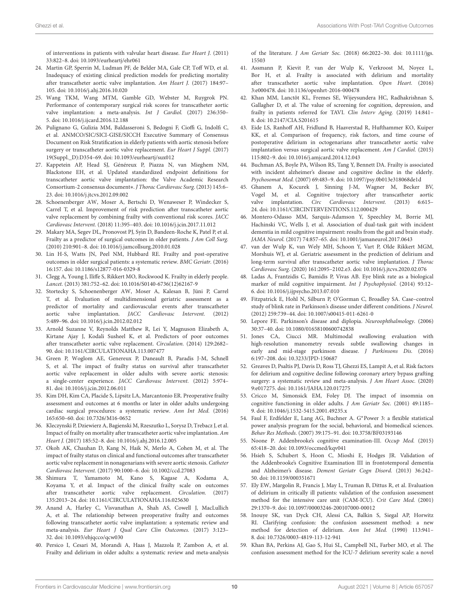of interventions in patients with valvular heart disease. Eur Heart J. (2011) 33:822–8. doi: [10.1093/eurheartj/ehr061](https://doi.org/10.1093/eurheartj/ehr061)

- 24. Martin GP, Sperrin M, Ludman PF, de Belder MA, Gale CP, Toff WD, et al. Inadequacy of existing clinical prediction models for predicting mortality after transcatheter aortic valve implantation. Am Heart J. (2017) 184:97– 105. doi: [10.1016/j.ahj.2016.10.020](https://doi.org/10.1016/j.ahj.2016.10.020)
- <span id="page-9-0"></span>25. Wang TKM, Wang MTM, Gamble GD, Webster M, Ruygrok PN. Performance of contemporary surgical risk scores for transcatheter aortic valve implantation: a meta-analysis. Int J Cardiol. (2017) 236:350– 5. doi: [10.1016/j.ijcard.2016.12.188](https://doi.org/10.1016/j.ijcard.2016.12.188)
- <span id="page-9-1"></span>26. Pulignano G, Gulizia MM, Baldasseroni S, Bedogni F, Cioffi G, Indolfi C, et al. ANMCO/SIC/SICI-GISE/SICCH Executive Summary of Consensus Document on Risk Stratification in elderly patients with aortic stenosis before surgery or transcatheter aortic valve replacement. Eur Heart J Suppl. (2017) 19(Suppl.\_D):D354–69. doi: [10.1093/eurheartj/sux012](https://doi.org/10.1093/eurheartj/sux012)
- 27. Kappetein AP, Head SJ, Généreux P, Piazza N, van Mieghem NM, Blackstone EH, et al. Updated standardized endpoint definitions for transcatheter aortic valve implantation: the Valve Academic Research Consortium-2 consensus document∗. J Thorac Cardiovasc Surg. (2013) 145:6– 23. doi: [10.1016/j.jtcvs.2012.09.002](https://doi.org/10.1016/j.jtcvs.2012.09.002)
- <span id="page-9-2"></span>28. Schoenenberger AW, Moser A, Bertschi D, Wenaweser P, Windecker S, Carrel T, et al. Improvement of risk prediction after transcatheter aortic valve replacement by combining frailty with conventional risk scores. JACC Cardiovasc Intervent. (2018) 11:395–403. doi: [10.1016/j.jcin.2017.11.012](https://doi.org/10.1016/j.jcin.2017.11.012)
- <span id="page-9-3"></span>29. Makary MA, Segev DL, Pronovost PJ, Syin D, Bandeen-Roche K, Patel P, et al. Frailty as a predictor of surgical outcomes in older patients. J Am Coll Surg. (2010) 210:901–8. doi: [10.1016/j.jamcollsurg.2010.01.028](https://doi.org/10.1016/j.jamcollsurg.2010.01.028)
- <span id="page-9-4"></span>30. Lin H-S, Watts JN, Peel NM, Hubbard RE. Frailty and post-operative outcomes in older surgical patients: a systematic review. BMC Geriatr. (2016) 16:157. doi: [10.1186/s12877-016-0329-8](https://doi.org/10.1186/s12877-016-0329-8)
- <span id="page-9-5"></span>31. Clegg A, Young J, Iliffe S, Rikkert MO, Rockwood K. Frailty in elderly people. Lancet. (2013) 381:752–62. doi: [10.1016/S0140-6736\(12\)62167-9](https://doi.org/10.1016/S0140-6736(12)62167-9)
- <span id="page-9-6"></span>32. Stortecky S, Schoenenberger AW, Moser A, Kalesan B, Jüni P, Carrel T, et al. Evaluation of multidimensional geriatric assessment as a predictor of mortality and cardiovascular events after transcatheter aortic valve implantation. JACC Cardiovasc Intervent. (2012) 5:489–96. doi: [10.1016/j.jcin.2012.02.012](https://doi.org/10.1016/j.jcin.2012.02.012)
- <span id="page-9-14"></span>33. Arnold Suzanne V, Reynolds Matthew R, Lei Y, Magnuson Elizabeth A, Kirtane Ajay J, Kodali Susheel K, et al. Predictors of poor outcomes after transcatheter aortic valve replacement. Circulation. (2014) 129:2682– 90. doi: [10.1161/CIRCULATIONAHA.113.007477](https://doi.org/10.1161/CIRCULATIONAHA.113.007477)
- 34. Green P, Woglom AE, Genereux P, Daneault B, Paradis J-M, Schnell S, et al. The impact of frailty status on survival after transcatheter aortic valve replacement in older adults with severe aortic stenosis: a single-center experience. JACC Cardiovasc Intervent. (2012) 5:974– 81. doi: [10.1016/j.jcin.2012.06.011](https://doi.org/10.1016/j.jcin.2012.06.011)
- 35. Kim DH, Kim CA, Placide S, Lipsitz LA, Marcantonio ER. Preoperative frailty assessment and outcomes at 6 months or later in older adults undergoing cardiac surgical procedures: a systematic review. Ann Int Med. (2016) 165:650–60. doi: [10.7326/M16-0652](https://doi.org/10.7326/M16-0652)
- 36. Kleczynski P, Dziewierz A, Bagienski M, Rzeszutko L, Sorysz D, Trebacz J, et al. Impact of frailty on mortality after transcatheter aortic valve implantation. Am Heart J. (2017) 185:52–8. doi: [10.1016/j.ahj.2016.12.005](https://doi.org/10.1016/j.ahj.2016.12.005)
- 37. Okoh AK, Chauhan D, Kang N, Haik N, Merlo A, Cohen M, et al. The impact of frailty status on clinical and functional outcomes after transcatheter aortic valve replacement in nonagenarians with severe aortic stenosis. Catheter Cardiovasc Intervent. (2017) 90:1000–6. doi: [10.1002/ccd.27083](https://doi.org/10.1002/ccd.27083)
- 38. Shimura T, Yamamoto M, Kano S, Kagase A, Kodama A, Koyama Y, et al. Impact of the clinical frailty scale on outcomes after transcatheter aortic valve replacement. Circulation. (2017) 135:2013–24. doi: [10.1161/CIRCULATIONAHA.116.025630](https://doi.org/10.1161/CIRCULATIONAHA.116.025630)
- <span id="page-9-7"></span>39. Anand A, Harley C, Visvanathan A, Shah AS, Cowell J, MacLullich A, et al. The relationship between preoperative frailty and outcomes following transcatheter aortic valve implantation: a systematic review and meta-analysis. Eur Heart J Qual Care Clin Outcomes. (2017) 3:123– 32. doi: [10.1093/ehjqcco/qcw030](https://doi.org/10.1093/ehjqcco/qcw030)
- <span id="page-9-8"></span>40. Persico I, Cesari M, Morandi A, Haas J, Mazzola P, Zambon A, et al. Frailty and delirium in older adults: a systematic review and meta-analysis

of the literature. J Am Geriatr Soc. [\(2018\) 66:2022–30. doi: 10.1111/jgs.](https://doi.org/10.1111/jgs.15503) 15503

- <span id="page-9-9"></span>41. Assmann P, Kievit P, van der Wulp K, Verkroost M, Noyez L, Bor H, et al. Frailty is associated with delirium and mortality after transcatheter aortic valve implantation. Open Heart. (2016) 3:e000478. doi: [10.1136/openhrt-2016-000478](https://doi.org/10.1136/openhrt-2016-000478)
- 42. Khan MM, Lanctôt KL, Fremes SE, Wijeysundera HC, Radhakrishnan S, Gallagher D, et al. The value of screening for cognition, depression, and frailty in patients referred for TAVI. Clin Interv Aging. (2019) 14:841– 8. doi: [10.2147/CIA.S201615](https://doi.org/10.2147/CIA.S201615)
- <span id="page-9-10"></span>43. Eide LS, Ranhoff AH, Fridlund B, Haaverstad R, Hufthammer KO, Kuiper KK, et al. Comparison of frequency, risk factors, and time course of postoperative delirium in octogenarians after transcatheter aortic valve implantation versus surgical aortic valve replacement. Am J Cardiol. (2015) 115:802–9. doi: [10.1016/j.amjcard.2014.12.043](https://doi.org/10.1016/j.amjcard.2014.12.043)
- <span id="page-9-11"></span>44. Buchman AS, Boyle PA, Wilson RS, Tang Y, Bennett DA. Frailty is associated with incident alzheimer's disease and cognitive decline in the elderly. Psychosomat Med. (2007) 69:483–9. doi: [10.1097/psy.0b013e318068de1d](https://doi.org/10.1097/psy.0b013e318068de1d)
- <span id="page-9-12"></span>45. Ghanem A, Kocurek J, Sinning J-M, Wagner M, Becker BV, Vogel M, et al. Cognitive trajectory after transcatheter aortic valve implantation. Circ Cardiovasc Intervent. (2013) 6:615– 24. doi: [10.1161/CIRCINTERVENTIONS.112.000429](https://doi.org/10.1161/CIRCINTERVENTIONS.112.000429)
- <span id="page-9-13"></span>46. Montero-Odasso MM, Sarquis-Adamson Y, Speechley M, Borrie MJ, Hachinski VC, Wells J, et al. Association of dual-task gait with incident dementia in mild cognitive impairment: results from the gait and brain study. JAMA Neurol. (2017) 74:857–65. doi: [10.1001/jamaneurol.2017.0643](https://doi.org/10.1001/jamaneurol.2017.0643)
- <span id="page-9-15"></span>47. van der Wulp K, van Wely MH, Schoon Y, Vart P, Olde Rikkert MGM, Morshuis WJ, et al. Geriatric assessment in the prediction of delirium and long-term survival after transcatheter aortic valve implantation. J Thorac Cardiovasc Surg. (2020) 161:2095–2102.e3. doi: [10.1016/j.jtcvs.2020.02.076](https://doi.org/10.1016/j.jtcvs.2020.02.076)
- <span id="page-9-16"></span>48. Ladas A, Frantzidis C, Bamidis P, Vivas AB. Eye blink rate as a biological marker of mild cognitive impairment. Int J Psychophysiol. (2014) 93:12– 6. doi: [10.1016/j.ijpsycho.2013.07.010](https://doi.org/10.1016/j.ijpsycho.2013.07.010)
- <span id="page-9-17"></span>49. Fitzpatrick E, Hohl N, Silburn P, O'Gorman C, Broadley SA. Case–control study of blink rate in Parkinson's disease under different conditions. J Neurol. (2012) 259:739–44. doi: [10.1007/s00415-011-6261-0](https://doi.org/10.1007/s00415-011-6261-0)
- <span id="page-9-18"></span>50. Lepore FE. Parkinson's disease and diplopia. Neuroophthalmology. (2006) 30:37–40. doi: [10.1080/01658100600742838](https://doi.org/10.1080/01658100600742838)
- <span id="page-9-19"></span>51. Jones CA, Ciucci MR. Multimodal swallowing evaluation with high-resolution manometry reveals subtle swallowing changes in early and mid-stage parkinson disease. J Parkinsons Dis. (2016) 6:197–208. doi: [10.3233/JPD-150687](https://doi.org/10.3233/JPD-150687)
- <span id="page-9-20"></span>52. Greaves D, Psaltis PJ, Davis D, Ross TJ, Ghezzi ES, Lampit A, et al. Risk factors for delirium and cognitive decline following coronary artery bypass grafting surgery: a systematic review and meta-analysis. J Am Heart Assoc. (2020) 9:e017275. doi: [10.1161/JAHA.120.017275](https://doi.org/10.1161/JAHA.120.017275)
- <span id="page-9-21"></span>53. Cricco M, Simonsick EM, Foley DJ. The impact of insomnia on cognitive functioning in older adults. J Am Geriatr Soc. (2001) 49:1185– 9. doi: [10.1046/j.1532-5415.2001.49235.x](https://doi.org/10.1046/j.1532-5415.2001.49235.x)
- <span id="page-9-22"></span>54. Faul F, Erdfelder E, Lang AG, Buchner A. G∗Power 3: a flexible statistical power analysis program for the social, behavioral, and biomedical sciences. Behav Res Methods. (2007) 39:175–91. doi: [10.3758/BF03193146](https://doi.org/10.3758/BF03193146)
- <span id="page-9-23"></span>55. Noone P. Addenbrooke's cognitive examination-III. Occup Med. (2015) 65:418–20. doi: [10.1093/occmed/kqv041](https://doi.org/10.1093/occmed/kqv041)
- <span id="page-9-24"></span>56. Hsieh S, Schubert S, Hoon C, Mioshi E, Hodges JR. Validation of the Addenbrooke's Cognitive Examination III in frontotemporal dementia and Alzheimer's disease. Dement Geriatr Cogn Disord. (2013) 36:242– 50. doi: [10.1159/000351671](https://doi.org/10.1159/000351671)
- <span id="page-9-25"></span>57. Ely EW, Margolin R, Francis J, May L, Truman B, Dittus R, et al. Evaluation of delirium in critically ill patients: validation of the confusion assessment method for the intensive care unit (CAM-ICU). Crit Care Med. (2001) 29:1370–9. doi: [10.1097/00003246-200107000-00012](https://doi.org/10.1097/00003246-200107000-00012)
- <span id="page-9-26"></span>58. Inouye SK, van Dyck CH, Alessi CA, Balkin S, Siegal AP, Horwitz RI. Clarifying confusion: the confusion assessment method: a new method for detection of delirium. Ann Int Med. (1990) 113:941– 8. doi: [10.7326/0003-4819-113-12-941](https://doi.org/10.7326/0003-4819-113-12-941)
- <span id="page-9-27"></span>59. Khan BA, Perkins AJ, Gao S, Hui SL, Campbell NL, Farber MO, et al. The confusion assessment method for the ICU-7 delirium severity scale: a novel